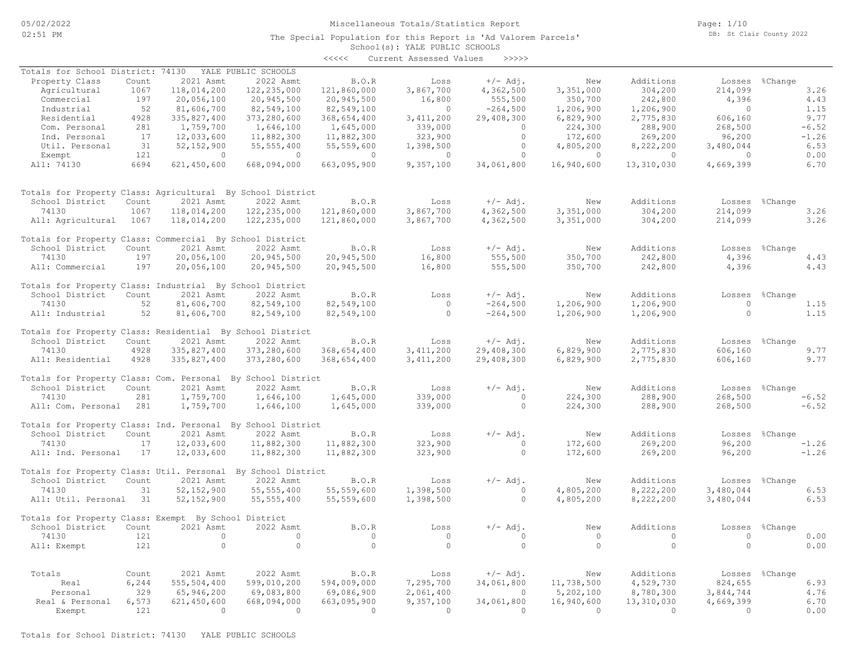The Special Population for this Report is 'Ad Valorem Parcels'

Page: 1/10 DB: St Clair County 2022

# School(s): YALE PUBLIC SCHOOLS

|                                                             |       |              |                     | <<<<         | Current Assessed Values | >>>>>      |            |            |           |                    |
|-------------------------------------------------------------|-------|--------------|---------------------|--------------|-------------------------|------------|------------|------------|-----------|--------------------|
| Totals for School District: 74130                           |       |              | YALE PUBLIC SCHOOLS |              |                         |            |            |            |           |                    |
| Property Class                                              | Count | 2021 Asmt    | 2022 Asmt           | B.O.R        | Loss                    | $+/-$ Adj. | New        | Additions  | Losses    | %Change            |
| Agricultural                                                | 1067  | 118,014,200  | 122, 235, 000       | 121,860,000  | 3,867,700               | 4,362,500  | 3,351,000  | 304,200    | 214,099   | 3.26               |
| Commercial                                                  | 197   | 20,056,100   | 20,945,500          | 20,945,500   | 16,800                  | 555,500    | 350,700    | 242,800    | 4,396     | 4.43               |
| Industrial                                                  | 52    | 81,606,700   | 82,549,100          | 82,549,100   | $\circ$                 | $-264,500$ | 1,206,900  | 1,206,900  | $\circ$   | 1.15               |
| Residential                                                 | 4928  | 335,827,400  | 373,280,600         | 368,654,400  | 3, 411, 200             | 29,408,300 | 6,829,900  | 2,775,830  | 606,160   | 9.77               |
| Com. Personal                                               | 281   | 1,759,700    | 1,646,100           | 1,645,000    | 339,000                 | $\circ$    | 224,300    | 288,900    | 268,500   | $-6.52$            |
| Ind. Personal                                               | 17    | 12,033,600   | 11,882,300          | 11,882,300   | 323,900                 | $\circ$    | 172,600    | 269,200    | 96,200    | $-1.26$            |
| Util. Personal                                              | 31    | 52, 152, 900 | 55, 555, 400        | 55,559,600   | 1,398,500               | $\circ$    | 4,805,200  | 8,222,200  | 3,480,044 | 6.53               |
| Exempt                                                      | 121   | $\Omega$     | $\circ$             | $\circ$      | $\Omega$                | $\circ$    | $\Omega$   | $\Omega$   | $\Omega$  | 0.00               |
| All: 74130                                                  | 6694  | 621,450,600  | 668,094,000         | 663,095,900  | 9,357,100               | 34,061,800 | 16,940,600 | 13,310,030 | 4,669,399 | 6.70               |
|                                                             |       |              |                     |              |                         |            |            |            |           |                    |
| Totals for Property Class: Agricultural By School District  |       |              |                     |              |                         |            |            |            |           |                    |
| School District                                             | Count | 2021 Asmt    | 2022 Asmt           | B.O.R        | Loss                    | $+/-$ Adj. | New        | Additions  | Losses    | %Change            |
| 74130                                                       | 1067  | 118,014,200  | 122, 235, 000       | 121,860,000  | 3,867,700               | 4,362,500  | 3,351,000  | 304,200    | 214,099   | 3.26               |
| All: Agricultural                                           | 1067  | 118,014,200  | 122, 235, 000       | 121,860,000  | 3,867,700               | 4,362,500  | 3,351,000  | 304,200    | 214,099   | 3.26               |
| Totals for Property Class: Commercial By School District    |       |              |                     |              |                         |            |            |            |           |                    |
| School District                                             | Count | 2021 Asmt    | 2022 Asmt           | <b>B.O.R</b> | Loss                    | $+/-$ Adj. | New        | Additions  | Losses    | %Change            |
| 74130                                                       | 197   | 20,056,100   | 20,945,500          | 20,945,500   | 16,800                  | 555,500    | 350,700    | 242,800    | 4,396     | 4.43               |
| All: Commercial                                             | 197   | 20,056,100   | 20,945,500          | 20,945,500   | 16,800                  | 555,500    | 350,700    | 242,800    | 4,396     | 4.43               |
|                                                             |       |              |                     |              |                         |            |            |            |           |                    |
| Totals for Property Class: Industrial By School District    |       |              |                     |              |                         |            |            |            |           |                    |
| School District                                             | Count | 2021 Asmt    | 2022 Asmt           | B.O.R        | Loss                    | $+/-$ Adj. | New        | Additions  | Losses    | %Change            |
| 74130                                                       | 52    | 81,606,700   | 82,549,100          | 82,549,100   | $\overline{0}$          | $-264,500$ | 1,206,900  | 1,206,900  | $\circ$   | 1.15               |
| All: Industrial                                             | 52    | 81,606,700   | 82,549,100          | 82,549,100   | $\Omega$                | $-264,500$ | 1,206,900  | 1,206,900  | $\Omega$  | 1.15               |
|                                                             |       |              |                     |              |                         |            |            |            |           |                    |
| Totals for Property Class: Residential By School District   |       |              |                     |              |                         |            |            |            |           |                    |
| School District                                             | Count | 2021 Asmt    | 2022 Asmt           | B.O.R        | Loss                    | $+/-$ Adj. | New        | Additions  |           | Losses %Change     |
| 74130                                                       | 4928  | 335,827,400  | 373,280,600         | 368,654,400  | 3,411,200               | 29,408,300 | 6,829,900  | 2,775,830  | 606,160   | 9.77               |
| All: Residential                                            | 4928  | 335,827,400  | 373,280,600         | 368,654,400  | 3, 411, 200             | 29,408,300 | 6,829,900  | 2,775,830  | 606,160   | 9.77               |
| Totals for Property Class: Com. Personal By School District |       |              |                     |              |                         |            |            |            |           |                    |
| School District                                             | Count | 2021 Asmt    | 2022 Asmt           | B.O.R        | Loss                    | $+/-$ Adj. | New        | Additions  | Losses    | %Change            |
| 74130                                                       | 281   | 1,759,700    | 1,646,100           | 1,645,000    | 339,000                 | $\circ$    | 224,300    | 288,900    | 268,500   | $-6.52$            |
| All: Com. Personal                                          | 281   | 1,759,700    | 1,646,100           | 1,645,000    | 339,000                 | $\Omega$   | 224,300    | 288,900    | 268,500   | $-6.52$            |
| Totals for Property Class: Ind. Personal By School District |       |              |                     |              |                         |            |            |            |           |                    |
| School District                                             | Count | 2021 Asmt    | 2022 Asmt           | B.O.R        | Loss                    | $+/-$ Adj. | New        | Additions  | Losses    | %Change            |
|                                                             | 17    | 12,033,600   | 11,882,300          | 11,882,300   | 323,900                 | $\circ$    | 172,600    | 269,200    | 96,200    |                    |
| 74130                                                       | 17    |              |                     |              |                         | $\circ$    |            |            |           | $-1.26$<br>$-1.26$ |
| All: Ind. Personal                                          |       | 12,033,600   | 11,882,300          | 11,882,300   | 323,900                 |            | 172,600    | 269,200    | 96,200    |                    |
| Totals for Property Class: Util. Personal                   |       |              | By School District  |              |                         |            |            |            |           |                    |
| School District                                             | Count | 2021 Asmt    | 2022 Asmt           | B.O.R        | Loss                    | $+/-$ Adj. | New        | Additions  | Losses    | %Change            |
| 74130                                                       | 31    | 52, 152, 900 | 55, 555, 400        | 55,559,600   | 1,398,500               | $\circ$    | 4,805,200  | 8,222,200  | 3,480,044 | 6.53               |
| All: Util. Personal 31                                      |       | 52, 152, 900 | 55, 555, 400        | 55,559,600   | 1,398,500               | $\circ$    | 4,805,200  | 8,222,200  | 3,480,044 | 6.53               |
| Totals for Property Class: Exempt By School District        |       |              |                     |              |                         |            |            |            |           |                    |
| School District                                             | Count | 2021 Asmt    | 2022 Asmt           | B.O.R        | Loss                    | $+/-$ Adj. | New        | Additions  | Losses    | %Change            |
| 74130                                                       | 121   | $\circ$      | $\circ$             | $\circ$      | $\circ$                 | $\circ$    | $\circ$    | $\circ$    | $\circ$   | 0.00               |
| All: Exempt                                                 | 121   | $\circ$      | $\circ$             | $\circ$      | $\Omega$                | $\circ$    | $\Omega$   | $\circ$    | $\Omega$  | 0.00               |
|                                                             |       |              |                     |              |                         |            |            |            |           |                    |
| Totals                                                      | Count | 2021 Asmt    | 2022 Asmt           | B.O.R        | Loss                    | $+/-$ Adj. | New        | Additions  |           | Losses %Change     |
| Real                                                        | 6,244 | 555,504,400  | 599,010,200         | 594,009,000  | 7,295,700               | 34,061,800 | 11,738,500 | 4,529,730  | 824,655   | 6.93               |
| Personal                                                    | 329   | 65,946,200   | 69,083,800          | 69,086,900   | 2,061,400               | $\circ$    | 5,202,100  | 8,780,300  | 3,844,744 | 4.76               |
| Real & Personal                                             | 6,573 | 621,450,600  | 668,094,000         | 663,095,900  | 9,357,100               | 34,061,800 | 16,940,600 | 13,310,030 | 4,669,399 | 6.70               |
| Exempt                                                      | 121   | $\Omega$     | $\Omega$            | $\Omega$     | $\Omega$                | $\Omega$   | $\Omega$   | $\Omega$   | $\Omega$  | 0.00               |
|                                                             |       |              |                     |              |                         |            |            |            |           |                    |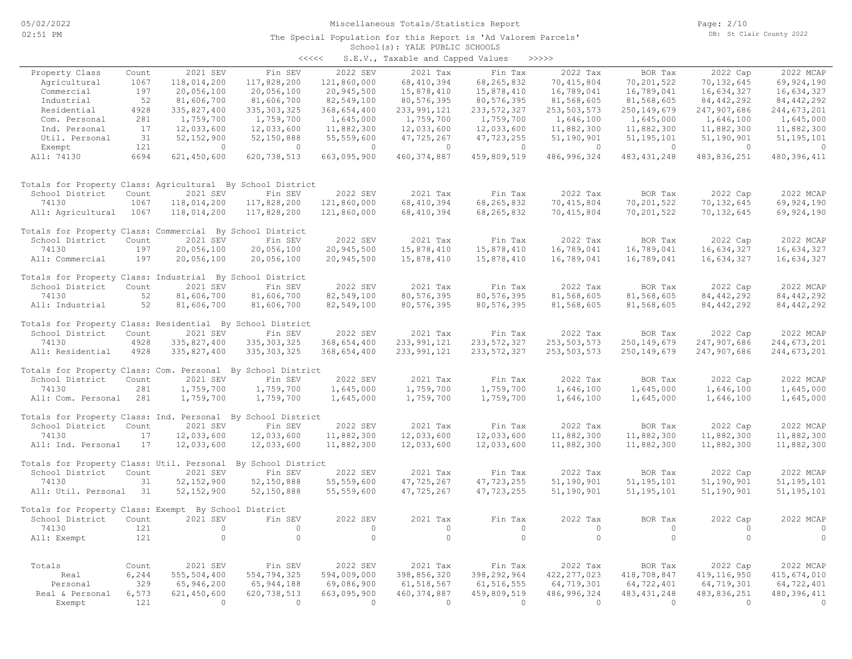#### School(s): YALE PUBLIC SCHOOLS The Special Population for this Report is 'Ad Valorem Parcels'

|                                                              |       |                |               | $\prec\prec\prec\prec\prec$ | S.E.V., Taxable and Capped Values |               | >>>>>         |                |                |               |
|--------------------------------------------------------------|-------|----------------|---------------|-----------------------------|-----------------------------------|---------------|---------------|----------------|----------------|---------------|
| Property Class                                               | Count | 2021 SEV       | Fin SEV       | 2022 SEV                    | 2021 Tax                          | Fin Tax       | 2022 Tax      | BOR Tax        | 2022 Cap       | 2022 MCAP     |
| Agricultural                                                 | 1067  | 118,014,200    | 117,828,200   | 121,860,000                 | 68, 410, 394                      | 68,265,832    | 70, 415, 804  | 70, 201, 522   | 70,132,645     | 69, 924, 190  |
| Commercial                                                   | 197   | 20,056,100     | 20,056,100    | 20,945,500                  | 15,878,410                        | 15,878,410    | 16,789,041    | 16,789,041     | 16,634,327     | 16,634,327    |
| Industrial                                                   | 52    | 81,606,700     | 81,606,700    | 82,549,100                  | 80, 576, 395                      | 80,576,395    | 81,568,605    | 81,568,605     | 84, 442, 292   | 84, 442, 292  |
| Residential                                                  | 4928  | 335,827,400    | 335, 303, 325 | 368,654,400                 | 233, 991, 121                     | 233, 572, 327 | 253,503,573   | 250, 149, 679  | 247,907,686    | 244,673,201   |
| Com. Personal                                                | 281   | 1,759,700      | 1,759,700     | 1,645,000                   | 1,759,700                         | 1,759,700     | 1,646,100     | 1,645,000      | 1,646,100      | 1,645,000     |
| Ind. Personal                                                | 17    | 12,033,600     | 12,033,600    | 11,882,300                  | 12,033,600                        | 12,033,600    | 11,882,300    | 11,882,300     | 11,882,300     | 11,882,300    |
| Util. Personal                                               | 31    | 52, 152, 900   | 52,150,888    | 55,559,600                  | 47,725,267                        | 47,723,255    | 51,190,901    | 51, 195, 101   | 51,190,901     | 51, 195, 101  |
| Exempt                                                       | 121   | $\circ$        | $\circ$       | $\circ$                     | $\circ$                           | $\circ$       | $\circ$       | $\Omega$       | $\overline{0}$ | $\circ$       |
| All: 74130                                                   | 6694  | 621,450,600    | 620, 738, 513 | 663,095,900                 | 460, 374, 887                     | 459,809,519   | 486, 996, 324 | 483, 431, 248  | 483,836,251    | 480, 396, 411 |
| Totals for Property Class: Agricultural By School District   |       |                |               |                             |                                   |               |               |                |                |               |
| School District                                              | Count | 2021 SEV       | Fin SEV       | 2022 SEV                    | 2021 Tax                          | Fin Tax       | 2022 Tax      | BOR Tax        | 2022 Cap       | 2022 MCAP     |
| 74130                                                        | 1067  | 118,014,200    | 117,828,200   | 121,860,000                 | 68, 410, 394                      | 68, 265, 832  | 70, 415, 804  | 70,201,522     | 70, 132, 645   | 69, 924, 190  |
| All: Agricultural                                            | 1067  | 118,014,200    | 117,828,200   | 121,860,000                 | 68, 410, 394                      | 68, 265, 832  | 70, 415, 804  | 70,201,522     | 70,132,645     | 69,924,190    |
| Totals for Property Class: Commercial By School District     |       |                |               |                             |                                   |               |               |                |                |               |
| School District                                              | Count | 2021 SEV       | Fin SEV       | 2022 SEV                    | 2021 Tax                          | Fin Tax       | 2022 Tax      | BOR Tax        | 2022 Cap       | 2022 MCAP     |
| 74130                                                        | 197   | 20,056,100     | 20,056,100    | 20,945,500                  | 15,878,410                        | 15,878,410    | 16,789,041    | 16,789,041     | 16,634,327     | 16,634,327    |
| All: Commercial                                              | 197   | 20,056,100     | 20,056,100    | 20,945,500                  | 15,878,410                        | 15,878,410    | 16,789,041    | 16,789,041     | 16,634,327     | 16,634,327    |
| Totals for Property Class: Industrial By School District     |       |                |               |                             |                                   |               |               |                |                |               |
| School District                                              | Count | 2021 SEV       | Fin SEV       | 2022 SEV                    | 2021 Tax                          | Fin Tax       | 2022 Tax      | BOR Tax        | 2022 Cap       | 2022 MCAP     |
| 74130                                                        | 52    | 81,606,700     | 81,606,700    | 82,549,100                  | 80, 576, 395                      | 80, 576, 395  | 81,568,605    | 81,568,605     | 84, 442, 292   | 84, 442, 292  |
| All: Industrial                                              | 52    | 81,606,700     | 81,606,700    | 82,549,100                  | 80, 576, 395                      | 80, 576, 395  | 81,568,605    | 81,568,605     | 84, 442, 292   | 84, 442, 292  |
| Totals for Property Class: Residential By School District    |       |                |               |                             |                                   |               |               |                |                |               |
| School District                                              | Count | 2021 SEV       | Fin SEV       | 2022 SEV                    | 2021 Tax                          | Fin Tax       | 2022 Tax      | BOR Tax        | 2022 Cap       | 2022 MCAP     |
| 74130                                                        | 4928  | 335,827,400    | 335, 303, 325 | 368,654,400                 | 233, 991, 121                     | 233, 572, 327 | 253, 503, 573 | 250, 149, 679  | 247,907,686    | 244,673,201   |
| All: Residential                                             | 4928  | 335,827,400    | 335, 303, 325 | 368,654,400                 | 233, 991, 121                     | 233, 572, 327 | 253, 503, 573 | 250, 149, 679  | 247,907,686    | 244,673,201   |
| Totals for Property Class: Com. Personal By School District  |       |                |               |                             |                                   |               |               |                |                |               |
| School District                                              | Count | 2021 SEV       | Fin SEV       | 2022 SEV                    | 2021 Tax                          | Fin Tax       | 2022 Tax      | BOR Tax        | 2022 Cap       | 2022 MCAP     |
| 74130                                                        | 281   | 1,759,700      | 1,759,700     | 1,645,000                   | 1,759,700                         | 1,759,700     | 1,646,100     | 1,645,000      | 1,646,100      | 1,645,000     |
| All: Com. Personal                                           | 281   | 1,759,700      | 1,759,700     | 1,645,000                   | 1,759,700                         | 1,759,700     | 1,646,100     | 1,645,000      | 1,646,100      | 1,645,000     |
|                                                              |       |                |               |                             |                                   |               |               |                |                |               |
| Totals for Property Class: Ind. Personal By School District  |       |                |               |                             |                                   |               |               |                |                |               |
| School District                                              | Count | 2021 SEV       | Fin SEV       | 2022 SEV                    | 2021 Tax                          | Fin Tax       | 2022 Tax      | BOR Tax        | 2022 Cap       | 2022 MCAP     |
| 74130                                                        | 17    | 12,033,600     | 12,033,600    | 11,882,300                  | 12,033,600                        | 12,033,600    | 11,882,300    | 11,882,300     | 11,882,300     | 11,882,300    |
| All: Ind. Personal                                           | 17    | 12,033,600     | 12,033,600    | 11,882,300                  | 12,033,600                        | 12,033,600    | 11,882,300    | 11,882,300     | 11,882,300     | 11,882,300    |
| Totals for Property Class: Util. Personal By School District |       |                |               |                             |                                   |               |               |                |                |               |
| School District                                              | Count | 2021 SEV       | Fin SEV       | 2022 SEV                    | 2021 Tax                          | Fin Tax       | 2022 Tax      | BOR Tax        | 2022 Cap       | 2022 MCAP     |
| 74130                                                        | 31    | 52, 152, 900   | 52,150,888    | 55, 559, 600                | 47,725,267                        | 47,723,255    | 51,190,901    | 51, 195, 101   | 51,190,901     | 51, 195, 101  |
| All: Util. Personal 31                                       |       | 52, 152, 900   | 52,150,888    | 55, 559, 600                | 47,725,267                        | 47,723,255    | 51,190,901    | 51, 195, 101   | 51,190,901     | 51, 195, 101  |
| Totals for Property Class: Exempt By School District         |       |                |               |                             |                                   |               |               |                |                |               |
| School District                                              | Count | 2021 SEV       | Fin SEV       | 2022 SEV                    | 2021 Tax                          | Fin Tax       | 2022 Tax      | BOR Tax        | 2022 Cap       | 2022 MCAP     |
| 74130                                                        | 121   | $\circ$        | $\circ$       | $\circ$                     | $\circ$                           | 0             | $\circ$       | $\circ$        | $\circ$        | $\circ$       |
| All: Exempt                                                  | 121   | $\circ$        | $\circ$       | $\circ$                     | $\circ$                           | $\circ$       | $\circ$       | $\circ$        | $\Omega$       | $\circ$       |
|                                                              |       |                |               |                             |                                   |               |               |                |                |               |
| Totals                                                       | Count | 2021 SEV       | Fin SEV       | 2022 SEV                    | 2021 Tax                          | Fin Tax       | 2022 Tax      | BOR Tax        | 2022 Cap       | 2022 MCAP     |
| Real                                                         | 6,244 | 555,504,400    | 554,794,325   | 594,009,000                 | 398,856,320                       | 398,292,964   | 422, 277, 023 | 418,708,847    | 419, 116, 950  | 415,674,010   |
| Personal                                                     | 329   | 65,946,200     | 65, 944, 188  | 69,086,900                  | 61, 518, 567                      | 61, 516, 555  | 64,719,301    | 64,722,401     | 64,719,301     | 64,722,401    |
| Real & Personal                                              | 6,573 | 621,450,600    | 620, 738, 513 | 663,095,900                 | 460, 374, 887                     | 459,809,519   | 486, 996, 324 | 483, 431, 248  | 483,836,251    | 480, 396, 411 |
| Exempt                                                       | 121   | $\overline{0}$ | $\Omega$      | $\bigcirc$                  | $\Omega$                          | $\Omega$      | $\Omega$      | $\overline{0}$ | $\bigcirc$     | $\Omega$      |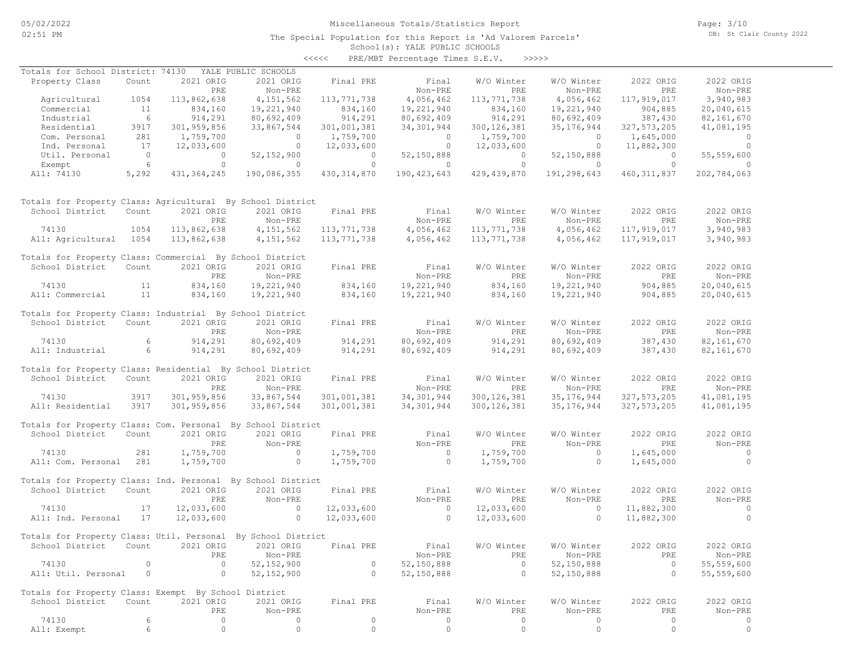The Special Population for this Report is 'Ad Valorem Parcels'

Page: 3/10 DB: St Clair County 2022

#### School(s): YALE PUBLIC SCHOOLS <<<<< PRE/MBT Percentage Times S.E.V. >>>>>

| Totals for School District: 74130                            |                 |                | YALE PUBLIC SCHOOLS |                    |                |                |                |                |                |
|--------------------------------------------------------------|-----------------|----------------|---------------------|--------------------|----------------|----------------|----------------|----------------|----------------|
| Property Class                                               | Count           | 2021 ORIG      | 2021 ORIG           | Final PRE          | Final          | W/O Winter     | W/O Winter     | 2022 ORIG      | 2022 ORIG      |
|                                                              |                 |                |                     |                    |                | PRE            | Non-PRE        | PRE            |                |
|                                                              |                 | PRE            | Non-PRE             |                    | Non-PRE        |                |                |                | Non-PRE        |
| Agricultural                                                 | 1054            | 113,862,638    | 4, 151, 562         | 113,771,738        | 4,056,462      | 113,771,738    | 4,056,462      | 117,919,017    | 3,940,983      |
| Commercial                                                   | 11              | 834,160        | 19,221,940          | 834,160            | 19,221,940     | 834,160        | 19,221,940     | 904,885        | 20,040,615     |
| Industrial                                                   | $6\overline{6}$ | 914,291        | 80,692,409          | 914,291            | 80,692,409     | 914,291        | 80,692,409     | 387,430        | 82, 161, 670   |
| Residential                                                  | 3917            | 301,959,856    | 33,867,544          | 301,001,381        | 34, 301, 944   | 300, 126, 381  | 35,176,944     | 327, 573, 205  | 41,081,195     |
| Com. Personal                                                | 281             | 1,759,700      | $\overline{0}$      | 1,759,700          | $\overline{0}$ | 1,759,700      | $\overline{0}$ | 1,645,000      | $\overline{0}$ |
| Ind. Personal                                                | 17              | 12,033,600     | $\overline{0}$      | 12,033,600         | $\overline{0}$ | 12,033,600     | $\overline{0}$ | 11,882,300     | $\overline{0}$ |
| Util. Personal                                               | $\overline{0}$  | $\overline{0}$ | 52, 152, 900        | $\overline{0}$     | 52,150,888     | $\overline{0}$ | 52,150,888     | $\overline{0}$ | 55, 559, 600   |
| Exempt                                                       | 6               | $\circ$        | $\overline{0}$      | $\overline{0}$     | $\sim$ 0       | $\overline{0}$ | $\overline{0}$ | $\bigcirc$     | $\sim$ 0       |
| All: 74130                                                   | 5,292           | 431, 364, 245  | 190,086,355         | 430, 314, 870      | 190,423,643    | 429,439,870    | 191,298,643    | 460, 311, 837  | 202,784,063    |
| Totals for Property Class: Agricultural By School District   |                 |                |                     |                    |                |                |                |                |                |
| School District                                              | Count           | 2021 ORIG      | 2021 ORIG           | Final PRE          | Final          | W/O Winter     | W/O Winter     | 2022 ORIG      | 2022 ORIG      |
|                                                              |                 | PRE            | Non-PRE             |                    | Non-PRE        | PRE            | Non-PRE        | PRE            | Non-PRE        |
|                                                              |                 |                |                     |                    |                |                |                |                |                |
| 74130                                                        | 1054            | 113,862,638    | 4, 151, 562         | 113,771,738        | 4,056,462      | 113,771,738    | 4,056,462      | 117,919,017    | 3,940,983      |
| All: Agricultural 1054                                       |                 | 113,862,638    | 4,151,562           | 113,771,738        | 4,056,462      | 113,771,738    | 4,056,462      | 117,919,017    | 3,940,983      |
| Totals for Property Class: Commercial By School District     |                 |                |                     |                    |                |                |                |                |                |
| School District Count                                        |                 | 2021 ORIG      | 2021 ORIG           | Final PRE          | Final          | W/O Winter     | W/O Winter     | 2022 ORIG      | 2022 ORIG      |
|                                                              |                 | PRE            | Non-PRE             |                    | Non-PRE        | PRE            | Non-PRE        | PRE            | Non-PRE        |
| 74130                                                        | 11              | 834,160        | 19,221,940          | 834,160            | 19,221,940     | 834,160        | 19,221,940     | 904,885        | 20,040,615     |
| All: Commercial                                              | 11              | 834,160        | 19,221,940          | 834,160            | 19,221,940     | 834,160        | 19,221,940     | 904,885        | 20,040,615     |
|                                                              |                 |                |                     |                    |                |                |                |                |                |
| Totals for Property Class: Industrial By School District     |                 |                |                     |                    |                |                |                |                |                |
| School District                                              | Count           | 2021 ORIG      | 2021 ORIG           | Final PRE          | Final          | W/O Winter     | W/O Winter     | 2022 ORIG      | 2022 ORIG      |
|                                                              |                 | PRE            | Non-PRE             |                    | Non-PRE        | PRE            | Non-PRE        | PRE            | Non-PRE        |
| 74130                                                        | 6               | 914,291        | 80,692,409          | 914,291<br>914,291 | 80,692,409     | 914,291        | 80,692,409     | 387,430        | 82,161,670     |
| All: Industrial                                              | $6\overline{6}$ | 914,291        | 80,692,409          |                    | 80,692,409     | 914,291        | 80,692,409     | 387,430        | 82, 161, 670   |
|                                                              |                 |                |                     |                    |                |                |                |                |                |
| Totals for Property Class: Residential By School District    |                 |                |                     |                    |                |                |                |                |                |
| School District                                              | Count           | 2021 ORIG      | 2021 ORIG           | Final PRE          | Final          | W/O Winter     | W/O Winter     | 2022 ORIG      | 2022 ORIG      |
|                                                              |                 | PRE            | Non-PRE             |                    | Non-PRE        | PRE            | Non-PRE        | PRE            | Non-PRE        |
|                                                              |                 |                |                     |                    |                |                |                |                |                |
| 74130                                                        | 3917            | 301,959,856    | 33,867,544          | 301,001,381        | 34,301,944     | 300, 126, 381  | 35, 176, 944   | 327, 573, 205  | 41,081,195     |
| All: Residential                                             | 3917            | 301,959,856    | 33,867,544          | 301,001,381        | 34,301,944     | 300, 126, 381  | 35,176,944     | 327, 573, 205  | 41,081,195     |
| Totals for Property Class: Com. Personal By School District  |                 |                |                     |                    |                |                |                |                |                |
| School District                                              | Count           | 2021 ORIG      | 2021 ORIG           | Final PRE          | Final          | W/O Winter     | W/O Winter     | 2022 ORIG      | 2022 ORIG      |
|                                                              |                 | PRE            | Non-PRE             |                    | Non-PRE        | PRE            | Non-PRE        | PRE            | Non-PRE        |
|                                                              |                 |                |                     |                    |                |                |                |                |                |
| 74130                                                        | 281             | 1,759,700      | $\overline{0}$      | 1,759,700          | $\overline{0}$ | 1,759,700      | $\circ$        | 1,645,000      | $\sim$ 0       |
| All: Com. Personal 281                                       |                 | 1,759,700      | $\overline{0}$      | 1,759,700          | $\overline{0}$ | 1,759,700      | $\circ$        | 1,645,000      | $\overline{0}$ |
| Totals for Property Class: Ind. Personal By School District  |                 |                |                     |                    |                |                |                |                |                |
| School District                                              | Count           | 2021 ORIG      | 2021 ORIG           | Final PRE          | Final          | W/O Winter     | W/O Winter     | 2022 ORIG      | 2022 ORIG      |
|                                                              |                 | PRE            | Non-PRE             |                    | Non-PRE        | PRE            | Non-PRE        | PRE            | Non-PRE        |
| 74130                                                        | 17              | 12,033,600     | $\sim$ 0            | 12,033,600         | $\sim$ 0       | 12,033,600     | $\circ$        | 11,882,300     | $\sim$ 0       |
|                                                              |                 |                | $\circ$             |                    | $\sim$ 0       |                | $\Omega$       |                | $\Omega$       |
| All: Ind. Personal                                           | 17              | 12,033,600     |                     | 12,033,600         |                | 12,033,600     |                | 11,882,300     |                |
| Totals for Property Class: Util. Personal By School District |                 |                |                     |                    |                |                |                |                |                |
| School District Count 2021 ORIG 2021 ORIG Final PRE          |                 |                |                     |                    | Final          |                | W/O Winter     |                | 2022 ORIG      |
|                                                              |                 |                |                     |                    |                | W/O Winter     |                | 2022 ORIG      |                |
|                                                              |                 | PRE            | Non-PRE             |                    | Non-PRE        | PRE            | Non-PRE        | PRE            | Non-PRE        |
| 74130                                                        | 0               | $\circ$        | 52, 152, 900        | $\circ$            | 52,150,888     | $\circ$        | 52,150,888     | $\circ$        | 55,559,600     |
| All: Util. Personal                                          | $\overline{0}$  | $\circ$        | 52, 152, 900        | $\circ$            | 52,150,888     | $\circ$        | 52,150,888     | $\circ$        | 55,559,600     |
| Totals for Property Class: Exempt By School District         |                 |                |                     |                    |                |                |                |                |                |
| School District                                              | Count           | 2021 ORIG      | 2021 ORIG           | Final PRE          | Final          | W/O Winter     | W/O Winter     | 2022 ORIG      | 2022 ORIG      |
|                                                              |                 | PRE            | Non-PRE             |                    | Non-PRE        | PRE            | Non-PRE        | PRE            | Non-PRE        |
|                                                              |                 |                |                     |                    |                |                |                |                |                |
| 74130                                                        | 6               | $\circ$        | 0                   | $\circ$            | 0              | $\circ$        | 0              | $\circ$        | 0              |
| All: Exempt                                                  | 6               | $\circ$        | $\circ$             | $\circ$            | $\circ$        | $\circ$        | $\circ$        | $\circ$        | $\circ$        |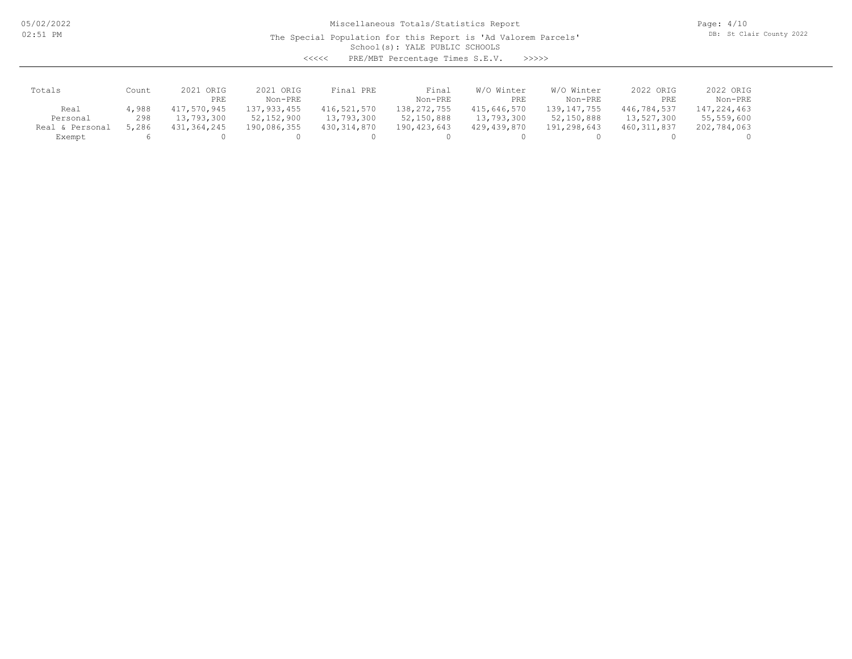05/02/2022 02:51 PM

Miscellaneous Totals/Statistics Report

The Special Population for this Report is 'Ad Valorem Parcels'

Page: 4/10 DB: St Clair County 2022

School(s): YALE PUBLIC SCHOOLS

<<<<< PRE/MBT Percentage Times S.E.V. >>>>>

| Totals             | Count | ORIG<br>2021 | 2021 ORIG     | Final PRE     | Final       | Winter<br>W/O | W/O Winter    | 2022 ORIG     | 2022 ORIG   |
|--------------------|-------|--------------|---------------|---------------|-------------|---------------|---------------|---------------|-------------|
|                    |       | PRE          | Non-PRE       |               | Non-PRE     | PRE           | Non-PRE       | PRE           | Non-PRE     |
| Real               | 4,988 | 417,570,945  | 137, 933, 455 | 416,521,570   | 138,272,755 | 415,646,570   | 139, 147, 755 | 446,784,537   | 147,224,463 |
| Personal           | 298   | 13,793,300   | 52,152,900    | 13,793,300    | 52,150,888  | 13,793,300    | 52,150,888    | 13,527,300    | 55,559,600  |
| Personal<br>Real & | 5,286 | 431,364,245  | 190,086,355   | 430, 314, 870 | 190,423,643 | 429,439,870   | 191,298,643   | 460, 311, 837 | 202,784,063 |
| Exempt             |       |              |               |               |             |               |               |               |             |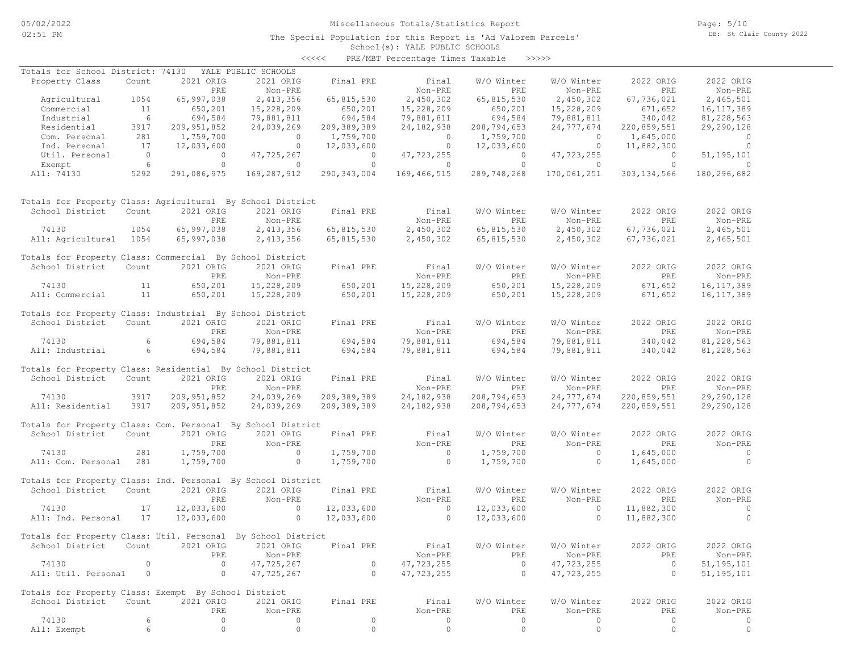The Special Population for this Report is 'Ad Valorem Parcels'

Page: 5/10 DB: St Clair County 2022

#### School(s): YALE PUBLIC SCHOOLS <<<<< PRE/MBT Percentage Times Taxable >>>>>

| Totals for School District: 74130                            |                 |                  | YALE PUBLIC SCHOOLS  |                    |                          |                               |                       |                    |                                       |
|--------------------------------------------------------------|-----------------|------------------|----------------------|--------------------|--------------------------|-------------------------------|-----------------------|--------------------|---------------------------------------|
| Property Class                                               | Count           | 2021 ORIG        | 2021 ORIG            | Final PRE          | Final                    | W/O Winter                    | W/O Winter            | 2022 ORIG          | 2022 ORIG                             |
|                                                              |                 | PRE              | Non-PRE              |                    | Non-PRE                  | PRE                           | Non-PRE               | PRE                | Non-PRE                               |
| Agricultural                                                 | 1054            | 65,997,038       | 2, 413, 356          | 65,815,530         | 2,450,302                | 65,815,530                    | 2,450,302             | 67,736,021         | 2,465,501                             |
| Commercial                                                   | 11              | 650,201          | 15,228,209           |                    | 15,228,209               | 650,201                       | 15,228,209            | 671,652            | 16, 117, 389                          |
| Industrial                                                   | $6\overline{6}$ | 694,584          | 79,881,811           | 650,201<br>694,584 | 79,881,811               | 694,584                       | 79,881,811            | 340,042            | 81,228,563                            |
| Residential                                                  | 3917            | 209, 951, 852    | 24,039,269           | 209,389,389        | 24, 182, 938             | 208,794,653                   | 24,777,674            | 220,859,551        | 29,290,128                            |
| Com. Personal                                                | 281             | 1,759,700        | $\overline{0}$       | 1,759,700          | $\overline{0}$           | 1,759,700                     | $\circ$               | 1,645,000          | $\overline{0}$                        |
| Ind. Personal                                                | 17              | 12,033,600       | $\overline{0}$       | 12,033,600         | $\overline{0}$           | 12,033,600                    | $\overline{0}$        | 11,882,300         | $\overline{0}$                        |
| Util. Personal                                               | $\overline{0}$  | $\overline{0}$   | 47,725,267           | $\overline{0}$     | 47,723,255               | $\overline{0}$                | 47,723,255            | $\overline{0}$     | 51, 195, 101                          |
| Exempt                                                       | $6\overline{6}$ | $\circ$          | $\overline{0}$       | $\overline{0}$     | $\sim$ 0 $\sim$ 0 $\sim$ | $\circ$                       | $\overline{0}$        | $\overline{0}$     | $\sim$ 0                              |
| All: 74130                                                   | 5292            | 291,086,975      | 169,287,912          | 290,343,004        | 169,466,515              | 289,748,268                   | 170,061,251           | 303, 134, 566      | 180,296,682                           |
| Totals for Property Class: Agricultural By School District   |                 |                  |                      |                    |                          |                               |                       |                    |                                       |
| School District                                              | Count           | 2021 ORIG        | 2021 ORIG            | Final PRE          | Final                    | W/O Winter                    | W/O Winter            | 2022 ORIG          | 2022 ORIG                             |
|                                                              |                 | PRE              | Non-PRE              |                    | Non-PRE                  | PRE                           | Non-PRE               | <b>PRE</b>         | Non-PRE                               |
| 74130                                                        | 1054            | 65,997,038       | 2, 413, 356          | 65,815,530         | 2,450,302                | 65,815,530                    | 2,450,302             | 67,736,021         | 2,465,501                             |
| All: Agricultural 1054                                       |                 | 65,997,038       | 2,413,356            | 65,815,530         | 2,450,302                | 65,815,530                    | 2,450,302             | 67,736,021         | 2,465,501                             |
| Totals for Property Class: Commercial By School District     |                 |                  |                      |                    |                          |                               |                       |                    |                                       |
| School District Count                                        |                 | 2021 ORIG        | 2021 ORIG            | Final PRE          | Final                    | W/O Winter                    | W/O Winter            | 2022 ORIG          | 2022 ORIG                             |
|                                                              |                 | PRE              | Non-PRE              |                    | Non-PRE                  | PRE                           | Non-PRE               | PRE                | Non-PRE                               |
| 74130                                                        | 11              | 650,201          | 15,228,209           | 650,201            | 15,228,209               | 650,201                       | 15,228,209            | 671,652            | 16, 117, 389                          |
| All: Commercial                                              | 11              | 650,201          | 15,228,209           | 650,201            | 15,228,209               | 650,201                       | 15,228,209            | 671,652            | 16, 117, 389                          |
| Totals for Property Class: Industrial By School District     |                 |                  |                      |                    |                          |                               |                       |                    |                                       |
| School District                                              | Count           | 2021 ORIG        | 2021 ORIG            | Final PRE          | Final                    | W/O Winter                    | W/O Winter            | 2022 ORIG          | 2022 ORIG                             |
|                                                              |                 | PRE              | Non-PRE              |                    | Non-PRE                  | PRE                           | Non-PRE               | PRE                | Non-PRE                               |
| 74130                                                        | 6               | 694,584          | 79,881,811           | 694,584<br>694,584 | 79,881,811               |                               | 79,881,811            |                    | 81, 228, 563                          |
| All: Industrial                                              | $6\overline{6}$ | 694,584          | 79,881,811           |                    | 79,881,811               | 694,584<br>694,584<br>694,584 | 79,881,811            | 340,042<br>340,042 | 81,228,563                            |
|                                                              |                 |                  |                      |                    |                          |                               |                       |                    |                                       |
| Totals for Property Class: Residential By School District    |                 |                  |                      |                    |                          |                               |                       |                    |                                       |
| School District                                              | Count           | 2021 ORIG        | 2021 ORIG            | Final PRE          | Final                    | W/O Winter                    | W/O Winter            | 2022 ORIG          | 2022 ORIG                             |
|                                                              |                 | PRE              | Non-PRE              |                    | Non-PRE                  | <b>PRE</b>                    | Non-PRE               | PRE                | Non-PRE                               |
| 74130                                                        | 3917            | 209, 951, 852    | 24,039,269           | 209, 389, 389      | 24,182,938               | 208,794,653                   | 24,777,674            | 220,859,551        | 29,290,128                            |
| All: Residential                                             | 3917            | 209, 951, 852    | 24,039,269           | 209, 389, 389      | 24, 182, 938             | 208,794,653                   | 24,777,674            | 220,859,551        | 29,290,128                            |
| Totals for Property Class: Com. Personal By School District  |                 |                  |                      |                    |                          |                               |                       |                    |                                       |
| School District                                              | Count           | 2021 ORIG        | 2021 ORIG            | Final PRE          | Final                    | W/O Winter                    | W/O Winter            | 2022 ORIG          | 2022 ORIG                             |
|                                                              |                 | PRE              | Non-PRE              |                    | Non-PRE                  | PRE                           | Non-PRE               | PRE                | Non-PRE                               |
| 74130                                                        | 281             | 1,759,700        | $\overline{0}$       | 1,759,700          | $\overline{0}$           | 1,759,700                     | $\sim$ 0              | 1,645,000          | $\begin{array}{c} 0 \\ 0 \end{array}$ |
| All: Com. Personal 281                                       |                 | 1,759,700        | $\sim$ 0             | 1,759,700          | $\overline{0}$           | 1,759,700                     | $\overline{0}$        | 1,645,000          | $\overline{0}$                        |
| Totals for Property Class: Ind. Personal By School District  |                 |                  |                      |                    |                          |                               |                       |                    |                                       |
| School District                                              | Count           | 2021 ORIG        | 2021 ORIG            | Final PRE          | Final                    | W/O Winter                    | W/O Winter            | 2022 ORIG          | 2022 ORIG                             |
|                                                              |                 | PRE              | Non-PRE              |                    | Non-PRE                  | PRE                           | Non-PRE               | PRE                | Non-PRE                               |
| 74130                                                        | 17              | 12,033,600       | $\sim$ 0             | 12,033,600         | $\sim$ 0                 | 12,033,600                    | $\overline{0}$        | 11,882,300         | $\sim$ 0                              |
| All: Ind. Personal                                           | 17              | 12,033,600       | $\overline{0}$       | 12,033,600         | $\overline{0}$           | 12,033,600                    | $\Omega$              | 11,882,300         | $\bigcirc$                            |
|                                                              |                 |                  |                      |                    |                          |                               |                       |                    |                                       |
| Totals for Property Class: Util. Personal By School District |                 |                  |                      |                    |                          |                               |                       |                    |                                       |
| School District Count 2021 ORIG 2021 ORIG Final PRE          |                 |                  |                      |                    | Final                    |                               | W/O Winter W/O Winter | 2022 ORIG          | 2022 ORIG                             |
|                                                              |                 | PRE              | Non-PRE              |                    | Non-PRE                  | PRE                           | Non-PRE               | PRE                | Non-PRE                               |
| 74130                                                        | 0               | $\circ$          | 47,725,267           | 0                  | 47,723,255               | $\circ$                       | 47,723,255            | $\overline{0}$     | 51, 195, 101                          |
| All: Util. Personal                                          | $\circ$         | $\circ$          | 47,725,267           | $\circ$            | 47,723,255               | $\circ$                       | 47,723,255            | $\circ$            | 51, 195, 101                          |
|                                                              |                 |                  |                      |                    |                          |                               |                       |                    |                                       |
| Totals for Property Class: Exempt By School District         |                 |                  |                      |                    |                          | W/O Winter                    |                       |                    |                                       |
| School District                                              | Count           | 2021 ORIG<br>PRE | 2021 ORIG<br>Non-PRE | Final PRE          | Final<br>Non-PRE         | PRE                           | W/O Winter<br>Non-PRE | 2022 ORIG<br>PRE   | 2022 ORIG<br>Non-PRE                  |
| 74130                                                        | 6               | 0                | 0                    | $\circ$            | $\circ$                  | $\circ$                       | $\circ$               | $\circ$            | 0                                     |
|                                                              | 6               | $\circ$          | $\circ$              | $\circ$            | $\circ$                  | $\circ$                       | $\circ$               | 0                  | $\circ$                               |
| All: Exempt                                                  |                 |                  |                      |                    |                          |                               |                       |                    |                                       |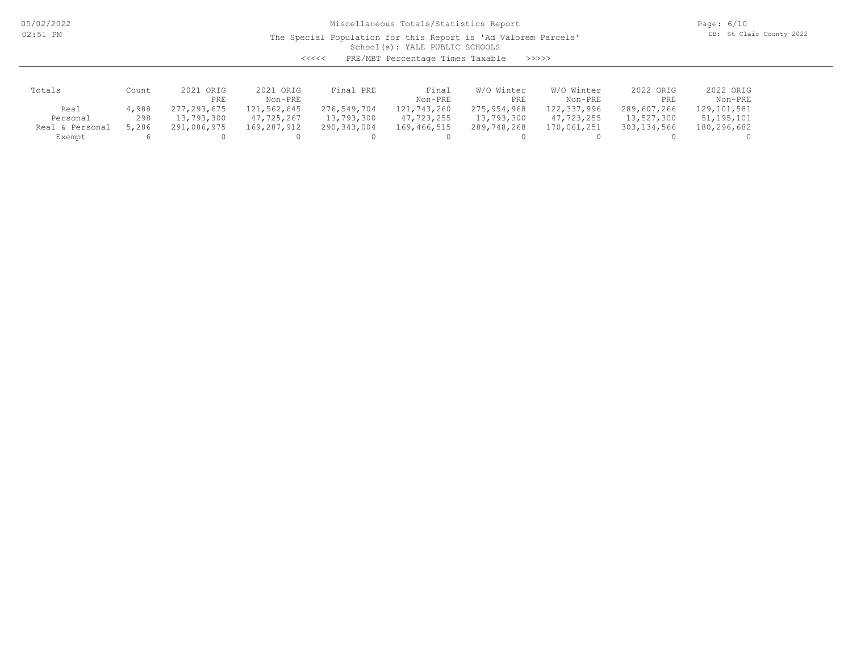05/02/2022 02:51 PM

# Miscellaneous Totals/Statistics Report

The Special Population for this Report is 'Ad Valorem Parcels'

Page: 6/10 DB: St Clair County 2022

School(s): YALE PUBLIC SCHOOLS

<<<<< PRE/MBT Percentage Times Taxable >>>>>

| Totals          | Count | 2021 ORIG<br>PRE | 2021 ORIG<br>Non-PRE | Final PRE     | Final<br>Non-PRE | W/O Winter<br>PRE | W/O Winter<br>Non-PRE | 2022 ORIG<br>PRE | 2022 ORIG<br>Non-PRE |
|-----------------|-------|------------------|----------------------|---------------|------------------|-------------------|-----------------------|------------------|----------------------|
| Real            | 4,988 | 277, 293, 675    | 121,562,645          | 276,549,704   | 121,743,260      | 275,954,968       | 122,337,996           | 289,607,266      | 129, 101, 581        |
| Personal        | 298   | 13,793,300       | 47,725,267           | 13,793,300    | 47,723,255       | 13,793,300        | 47,723,255            | 13,527,300       | 51, 195, 101         |
| Real & Personal | 5,286 | 291,086,975      | 169,287,912          | 290, 343, 004 | 169,466,515      | 289,748,268       | 170,061,251           | 303,134,566      | 180,296,682          |
| Exempt          |       |                  |                      |               |                  |                   |                       |                  |                      |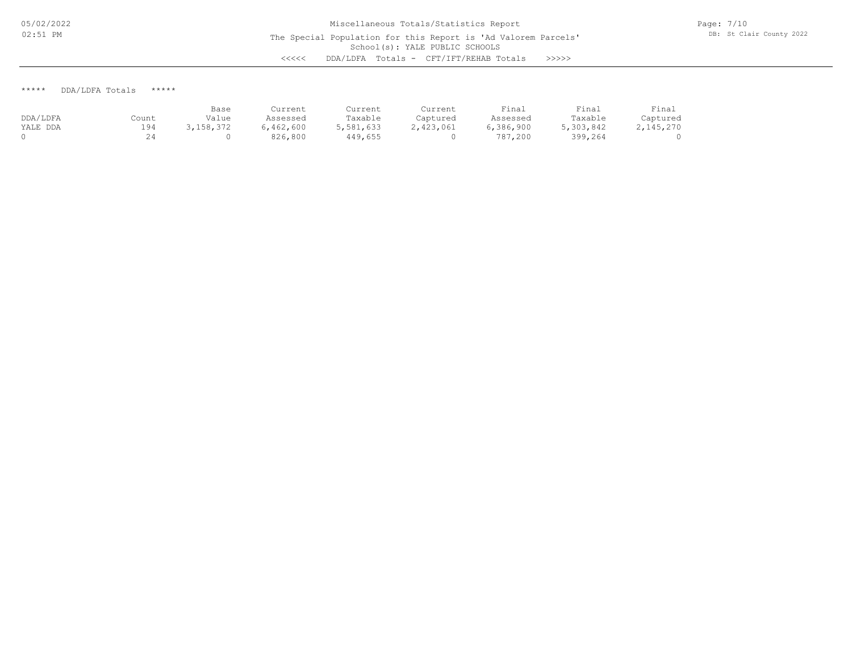Page: 7/10 DB: St Clair County 2022

\*\*\*\*\* DDA/LDFA Totals \*\*\*\*\*

|          |       | Base      | Current   | Current   | Current   | Final     | Final     | Final     |
|----------|-------|-----------|-----------|-----------|-----------|-----------|-----------|-----------|
| DDA/LDFA | Count | Value     | Assessed  | Taxable   | Captured  | Assessed  | Taxable   | Captured  |
| YALE DDA | 194   | 3,158,372 | 6,462,600 | 5,581,633 | 2,423,061 | 6,386,900 | 5,303,842 | 2,145,270 |
|          |       |           | 826,800   | 449,655   |           | 787,200   | 399,264   |           |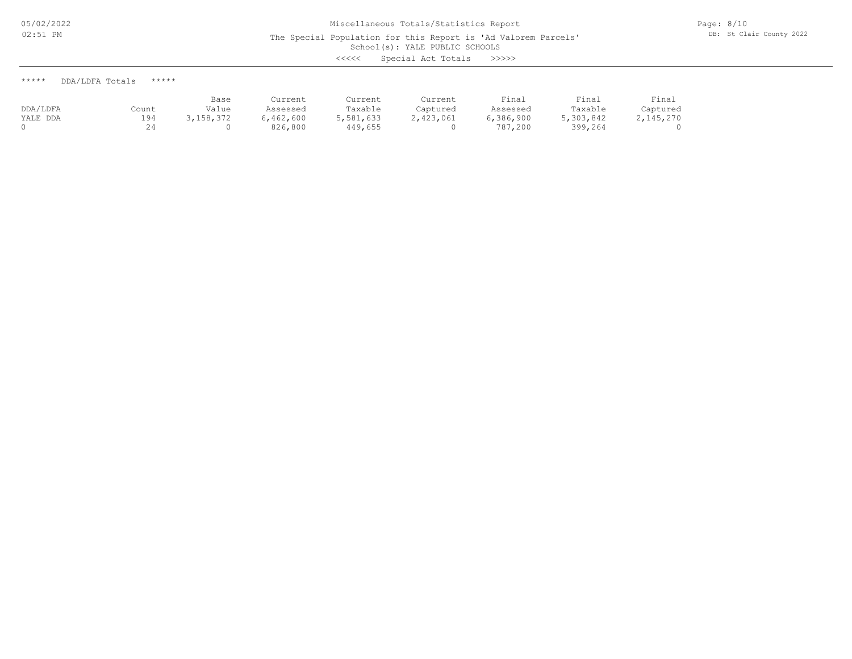The Special Population for this Report is 'Ad Valorem Parcels'

School(s): YALE PUBLIC SCHOOLS

<<<<< Special Act Totals >>>>>

|          |       | Base       | Current   | Current   | Current   | Final     | Final     | Final     |
|----------|-------|------------|-----------|-----------|-----------|-----------|-----------|-----------|
| DDA/LDFA | Count | Value      | Assessed  | Taxable   | Captured  | Assessed  | Taxable   | Captured  |
| YALE DDA | 194   | , 158, 372 | 6,462,600 | 5,581,633 | 2,423,061 | 6,386,900 | 5,303,842 | 2,145,270 |
|          |       |            | 826,800   | 449,655   |           | 787,200   | 399,264   |           |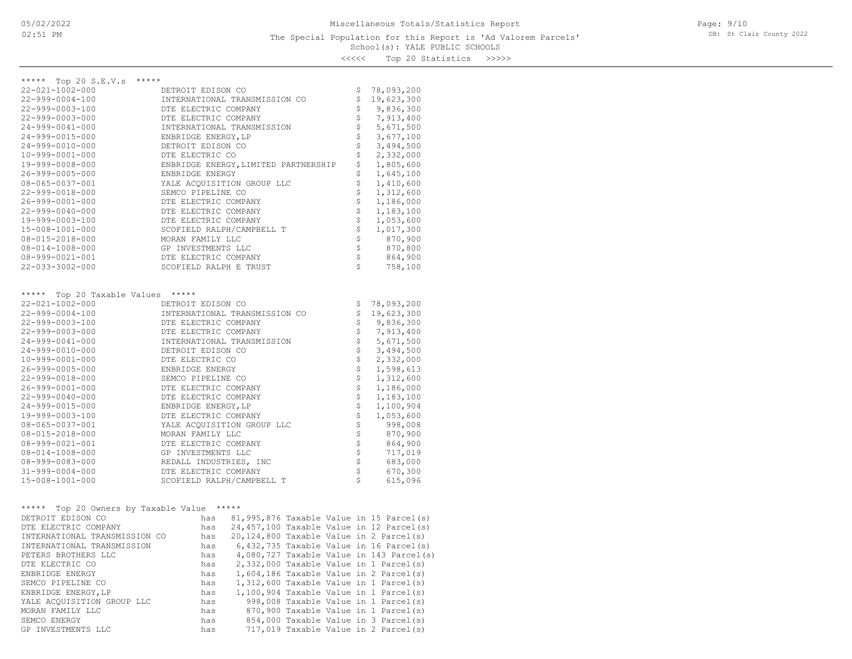School(s): YALE PUBLIC SCHOOLS s<br>20 Statistic

| くくくくく<br>Top 20 Statistics | >>>>> |
|----------------------------|-------|
|----------------------------|-------|

| ***** Top 20 S.E.V.s *****<br>22-021-1002-000 | E.V.S<br>INTERNATIONAL<br>DTE ELECTRIC COMPANY<br>DTE ELECTRIC COMPANY<br>INTERNATIONAL TRANSMISSION<br>ENBRIDGE ENERGY, LP<br>DETROIT EDISON CO<br>DTE ELECTRIC CO<br>TAGE, ENERGY, LIMITED PAR!<br>TAGE CO                                       |                           | \$78,093,200                                                                                                                                                                                                                                                                                                                                                                                            |
|-----------------------------------------------|----------------------------------------------------------------------------------------------------------------------------------------------------------------------------------------------------------------------------------------------------|---------------------------|---------------------------------------------------------------------------------------------------------------------------------------------------------------------------------------------------------------------------------------------------------------------------------------------------------------------------------------------------------------------------------------------------------|
| 22-999-0004-100                               |                                                                                                                                                                                                                                                    | $\mathsf{S}$              | 19,623,300                                                                                                                                                                                                                                                                                                                                                                                              |
| 22-999-0003-100                               | INTERNATIONAL TRANSMISSION CO                                                                                                                                                                                                                      | $\varsigma$               | 9,836,300                                                                                                                                                                                                                                                                                                                                                                                               |
| $22 - 999 - 0003 - 000$                       |                                                                                                                                                                                                                                                    | $\varsigma$               | 7,913,400                                                                                                                                                                                                                                                                                                                                                                                               |
| 24-999-0041-000                               |                                                                                                                                                                                                                                                    | \$                        | 5,671,500                                                                                                                                                                                                                                                                                                                                                                                               |
| 24-999-0015-000                               |                                                                                                                                                                                                                                                    | \$                        | 3,677,100                                                                                                                                                                                                                                                                                                                                                                                               |
|                                               |                                                                                                                                                                                                                                                    | \$                        | 3,494,500                                                                                                                                                                                                                                                                                                                                                                                               |
| 24-999-0010-000                               |                                                                                                                                                                                                                                                    |                           |                                                                                                                                                                                                                                                                                                                                                                                                         |
| 10-999-0001-000                               |                                                                                                                                                                                                                                                    | \$                        | 2,332,000                                                                                                                                                                                                                                                                                                                                                                                               |
| 19-999-0008-000                               |                                                                                                                                                                                                                                                    | \$                        | 1,805,600                                                                                                                                                                                                                                                                                                                                                                                               |
| 26-999-0005-000                               | DTE ELECTRIC CO<br>ENBRIDGE ENERGY, LIMITED PARTNERSHIP<br>ENBRIDGE ENERGY<br>YALE ACQUISITION GROUP LLC<br>SEMCO PIPELINE CO                                                                                                                      | \$                        | 1,645,100                                                                                                                                                                                                                                                                                                                                                                                               |
| $08 - 065 - 0037 - 001$                       |                                                                                                                                                                                                                                                    | \$                        | 1,410,600                                                                                                                                                                                                                                                                                                                                                                                               |
| 22-999-0018-000                               |                                                                                                                                                                                                                                                    | \$                        | 1,312,600                                                                                                                                                                                                                                                                                                                                                                                               |
| 26-999-0001-000                               | DTE ELECTRIC COMPANY                                                                                                                                                                                                                               | \$                        | 1,186,000                                                                                                                                                                                                                                                                                                                                                                                               |
| 22-999-0040-000                               |                                                                                                                                                                                                                                                    | \$                        | 1,183,100                                                                                                                                                                                                                                                                                                                                                                                               |
| 19-999-0003-100                               |                                                                                                                                                                                                                                                    | \$                        | 1,053,600                                                                                                                                                                                                                                                                                                                                                                                               |
| 15-008-1001-000                               | SCOFIELD RALPH/CAMPBELL T                                                                                                                                                                                                                          | \$                        | 1,017,300                                                                                                                                                                                                                                                                                                                                                                                               |
| 08-015-2018-000                               |                                                                                                                                                                                                                                                    | \$                        | 870,900                                                                                                                                                                                                                                                                                                                                                                                                 |
| 08-014-1008-000                               |                                                                                                                                                                                                                                                    | $\mathsf{S}$              | 870,800                                                                                                                                                                                                                                                                                                                                                                                                 |
| 08-999-0021-001                               | THE ELECTRIC COMPANY<br>DTE ELECTRIC COMPANY<br>SCOFIELD RALPH/CAMPBEL<br>MORAN FAMILY LLC<br>GP INVESTMENTS LLC<br>DTE ELECTRIC COMPANY<br>CORPERENTS COMPANY                                                                                     | $\frac{1}{2}$             | 864,900                                                                                                                                                                                                                                                                                                                                                                                                 |
| 22-033-3002-000                               | SCOFIELD RALPH E TRUST                                                                                                                                                                                                                             | $\mathsf{S}$              | 758,100                                                                                                                                                                                                                                                                                                                                                                                                 |
|                                               |                                                                                                                                                                                                                                                    |                           |                                                                                                                                                                                                                                                                                                                                                                                                         |
| ***** Top 20 Taxable Values *****             |                                                                                                                                                                                                                                                    |                           |                                                                                                                                                                                                                                                                                                                                                                                                         |
| 22-021-1002-000                               |                                                                                                                                                                                                                                                    | \$                        | 78,093,200                                                                                                                                                                                                                                                                                                                                                                                              |
| 22-999-0004-100                               | DETROIT EDISON CO<br>INTERNATIONAL TRANSMI<br>DTE ELECTRIC COMPANY<br>INTERNATIONAL TRANSMISSION CO                                                                                                                                                |                           | \$19,623,300                                                                                                                                                                                                                                                                                                                                                                                            |
| 22-999-0003-100                               |                                                                                                                                                                                                                                                    | $\varsigma$               | 9,836,300                                                                                                                                                                                                                                                                                                                                                                                               |
| 22-999-0003-000                               | DTE ELECTRIC COMPANY                                                                                                                                                                                                                               | \$                        | 7,913,400                                                                                                                                                                                                                                                                                                                                                                                               |
| 24-999-0041-000                               | INTERNATIONAL TRANSMISSION                                                                                                                                                                                                                         | $\boldsymbol{\mathsf{S}}$ | 5,671,500                                                                                                                                                                                                                                                                                                                                                                                               |
| 24-999-0010-000                               | DETROIT EDISON CO                                                                                                                                                                                                                                  | $\hat{\varsigma}$         | 3,494,500                                                                                                                                                                                                                                                                                                                                                                                               |
| 10-999-0001-000                               | DETRUIT LETTEL<br>DTE ELECTRIC CO<br>ENBRIDGE ENERGY<br>SEMCO PIPELINE CO<br>DTE ELECTRIC COMPANY<br>DTE ELECTRIC COMPANY<br>ENBRIDGE ENERGY, LP<br>DTE ELECTRIC COMPANY<br>YALE ACQUISITION GROUP LLC<br>MORAN FAMILY LLC<br>DTE ELECTRIC COMPANY | $\varsigma$               | 2,332,000                                                                                                                                                                                                                                                                                                                                                                                               |
| 26-999-0005-000                               |                                                                                                                                                                                                                                                    | $\varsigma$               | 1,598,613                                                                                                                                                                                                                                                                                                                                                                                               |
| 22-999-0018-000                               |                                                                                                                                                                                                                                                    | $\boldsymbol{\mathsf{S}}$ | 1,312,600                                                                                                                                                                                                                                                                                                                                                                                               |
| 26-999-0001-000                               |                                                                                                                                                                                                                                                    | $\boldsymbol{\mathsf{S}}$ | 1,186,000                                                                                                                                                                                                                                                                                                                                                                                               |
| 22-999-0040-000                               |                                                                                                                                                                                                                                                    | $\ddot{\mathcal{L}}$      | 1,183,100                                                                                                                                                                                                                                                                                                                                                                                               |
| 24-999-0015-000                               |                                                                                                                                                                                                                                                    | $\varsigma$               | 1,100,904                                                                                                                                                                                                                                                                                                                                                                                               |
| 19-999-0003-100                               |                                                                                                                                                                                                                                                    | $\mathsf{S}$              | 1,053,600                                                                                                                                                                                                                                                                                                                                                                                               |
| 08-065-0037-001                               |                                                                                                                                                                                                                                                    | $\frac{1}{2}$             | 998,008                                                                                                                                                                                                                                                                                                                                                                                                 |
| 08-015-2018-000                               |                                                                                                                                                                                                                                                    | $\mathsf{S}$              | 870,900                                                                                                                                                                                                                                                                                                                                                                                                 |
| 08-999-0021-001                               |                                                                                                                                                                                                                                                    | $\frac{1}{2}$             | 864,900                                                                                                                                                                                                                                                                                                                                                                                                 |
| 08-014-1008-000                               |                                                                                                                                                                                                                                                    |                           | 717,019                                                                                                                                                                                                                                                                                                                                                                                                 |
| 08-999-0083-000                               | DTE ELECTRIC COMPANY<br>GP INVESTMENTS LLC<br>REDALL INDUSTRIES, INC                                                                                                                                                                               |                           | 683,000                                                                                                                                                                                                                                                                                                                                                                                                 |
| 31-999-0004-000                               | DTE ELECTRIC COMPANY                                                                                                                                                                                                                               |                           | 670,300                                                                                                                                                                                                                                                                                                                                                                                                 |
| 15-008-1001-000                               | SCOFIELD RALPH/CAMPBELL T                                                                                                                                                                                                                          |                           | $\frac{1}{2} \frac{1}{2} \frac{1}{2} \frac{1}{2} \frac{1}{2} \frac{1}{2} \frac{1}{2} \frac{1}{2} \frac{1}{2} \frac{1}{2} \frac{1}{2} \frac{1}{2} \frac{1}{2} \frac{1}{2} \frac{1}{2} \frac{1}{2} \frac{1}{2} \frac{1}{2} \frac{1}{2} \frac{1}{2} \frac{1}{2} \frac{1}{2} \frac{1}{2} \frac{1}{2} \frac{1}{2} \frac{1}{2} \frac{1}{2} \frac{1}{2} \frac{1}{2} \frac{1}{2} \frac{1}{2} \frac{$<br>615,096 |
|                                               |                                                                                                                                                                                                                                                    |                           |                                                                                                                                                                                                                                                                                                                                                                                                         |
| ***** Top 20 Owners by Taxable Value *****    |                                                                                                                                                                                                                                                    |                           |                                                                                                                                                                                                                                                                                                                                                                                                         |
| DETROIT EDISON CO                             | has 81,995,876 Taxable Value in 15 Parcel(s)                                                                                                                                                                                                       |                           |                                                                                                                                                                                                                                                                                                                                                                                                         |
| DTE ELECTRIC COMPANY                          | 24,457,100 Taxable Value in 12 Parcel(s)<br>has                                                                                                                                                                                                    |                           |                                                                                                                                                                                                                                                                                                                                                                                                         |
| INTERNATIONAL TRANSMISSION CO                 | has 20,124,800 Taxable Value in 2 Parcel(s)                                                                                                                                                                                                        |                           |                                                                                                                                                                                                                                                                                                                                                                                                         |
| INTERNATIONAL TRANSMISSION                    | has<br>$6,432,735$ Taxable Value in 16 Parcel(s)                                                                                                                                                                                                   |                           |                                                                                                                                                                                                                                                                                                                                                                                                         |
| PETERS BROTHERS LLC                           | $4,080,727$ Taxable Value in 143 Parcel(s)<br>has                                                                                                                                                                                                  |                           |                                                                                                                                                                                                                                                                                                                                                                                                         |
| DTE ELECTRIC CO                               | 2,332,000 Taxable Value in 1 Parcel(s)<br>has                                                                                                                                                                                                      |                           |                                                                                                                                                                                                                                                                                                                                                                                                         |
| ENBRIDGE ENERGY                               | has $1,604,186$ Taxable Value in $\angle$<br>has $1,312,600$ Taxable Value in 1 Parcel(s)<br>has $1,100,904$ Taxable Value in 1 Parcel(s)<br>$\frac{998.008}{1008}$ Taxable Value in 1 Parcel(s)                                                   |                           |                                                                                                                                                                                                                                                                                                                                                                                                         |
| SEMCO PIPELINE CO                             |                                                                                                                                                                                                                                                    |                           |                                                                                                                                                                                                                                                                                                                                                                                                         |
| ENBRIDGE ENERGY, LP                           |                                                                                                                                                                                                                                                    |                           |                                                                                                                                                                                                                                                                                                                                                                                                         |
| YALE ACQUISITION GROUP LLC                    |                                                                                                                                                                                                                                                    |                           |                                                                                                                                                                                                                                                                                                                                                                                                         |
| MORAN FAMILY LLC                              | 870,900 Taxable Value in 1 Parcel(s)<br>has                                                                                                                                                                                                        |                           |                                                                                                                                                                                                                                                                                                                                                                                                         |
| SEMCO ENERGY                                  | 854,000 Taxable Value in 3 Parcel(s)<br>has                                                                                                                                                                                                        |                           |                                                                                                                                                                                                                                                                                                                                                                                                         |
| GP INVESTMENTS LLC                            | 717,019 Taxable Value in 2 Parcel(s)<br>has                                                                                                                                                                                                        |                           |                                                                                                                                                                                                                                                                                                                                                                                                         |